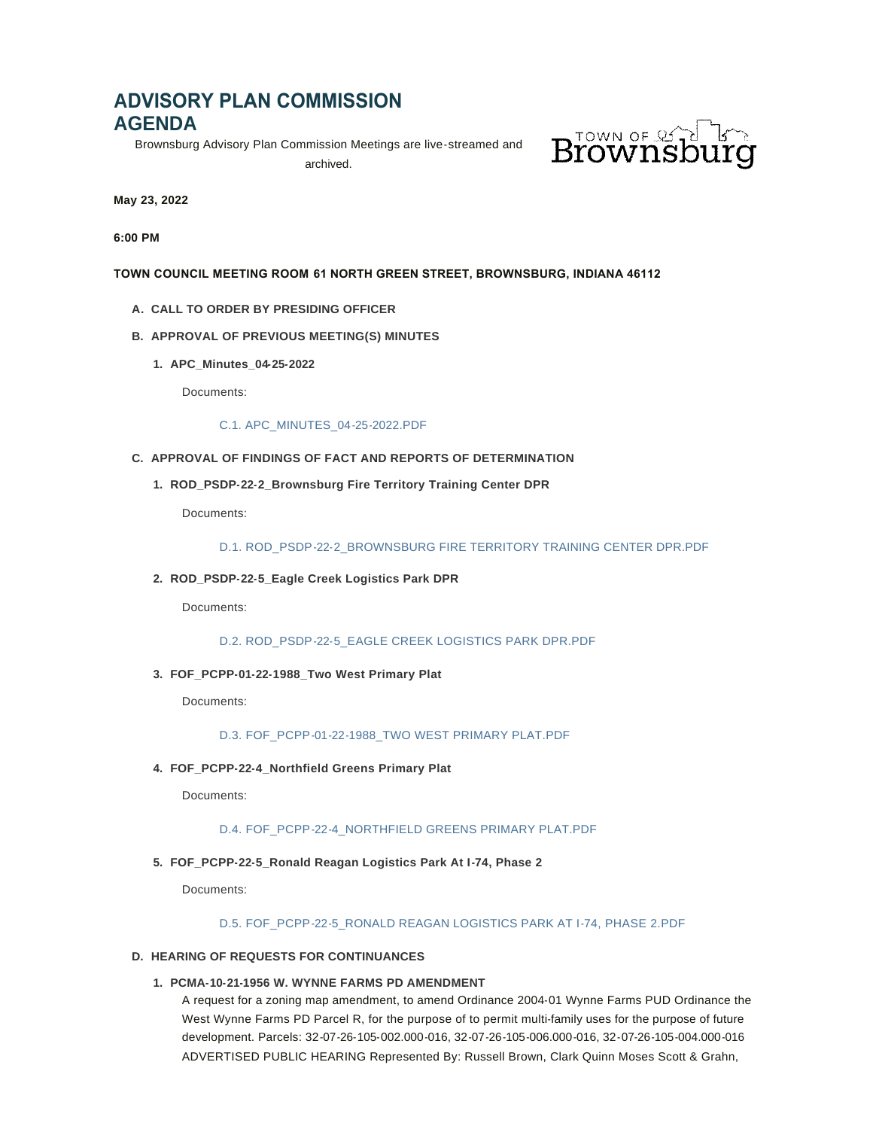# **ADVISORY PLAN COMMISSION AGENDA**

Brownsburg Advisory Plan Commission Meetings are live-streamed and

archived.



**May 23, 2022**

**6:00 PM**

# **TOWN COUNCIL MEETING ROOM 61 NORTH GREEN STREET, BROWNSBURG, INDIANA 46112**

**CALL TO ORDER BY PRESIDING OFFICER A.**

# **APPROVAL OF PREVIOUS MEETING(S) MINUTES B.**

**APC\_Minutes\_04-25-2022 1.**

Documents:

# [C.1. APC\\_MINUTES\\_04-25-2022.PDF](https://www.brownsburg.org/AgendaCenter/ViewFile/Item/440?fileID=4493)

# **APPROVAL OF FINDINGS OF FACT AND REPORTS OF DETERMINATION C.**

**ROD\_PSDP-22-2\_Brownsburg Fire Territory Training Center DPR 1.**

Documents:

# [D.1. ROD\\_PSDP-22-2\\_BROWNSBURG FIRE TERRITORY TRAINING CENTER DPR.PDF](https://www.brownsburg.org/AgendaCenter/ViewFile/Item/441?fileID=4494)

# **ROD\_PSDP-22-5\_Eagle Creek Logistics Park DPR 2.**

Documents:

[D.2. ROD\\_PSDP-22-5\\_EAGLE CREEK LOGISTICS PARK DPR.PDF](https://www.brownsburg.org/AgendaCenter/ViewFile/Item/442?fileID=4495)

# **FOF\_PCPP-01-22-1988\_Two West Primary Plat 3.**

Documents:

# [D.3. FOF\\_PCPP-01-22-1988\\_TWO WEST PRIMARY PLAT.PDF](https://www.brownsburg.org/AgendaCenter/ViewFile/Item/443?fileID=4496)

# **FOF\_PCPP-22-4\_Northfield Greens Primary Plat 4.**

Documents:

## [D.4. FOF\\_PCPP-22-4\\_NORTHFIELD GREENS PRIMARY PLAT.PDF](https://www.brownsburg.org/AgendaCenter/ViewFile/Item/444?fileID=4497)

# **FOF\_PCPP-22-5\_Ronald Reagan Logistics Park At I-74, Phase 2 5.**

Documents:

# [D.5. FOF\\_PCPP-22-5\\_RONALD REAGAN LOGISTICS PARK AT I-74, PHASE 2.PDF](https://www.brownsburg.org/AgendaCenter/ViewFile/Item/445?fileID=4498)

# **HEARING OF REQUESTS FOR CONTINUANCES D.**

# **PCMA-10-21-1956 W. WYNNE FARMS PD AMENDMENT 1.**

A request for a zoning map amendment, to amend Ordinance 2004-01 Wynne Farms PUD Ordinance the West Wynne Farms PD Parcel R, for the purpose of to permit multi-family uses for the purpose of future development. Parcels: 32-07-26-105-002.000-016, 32-07-26-105-006.000-016, 32-07-26-105-004.000-016 ADVERTISED PUBLIC HEARING Represented By: Russell Brown, Clark Quinn Moses Scott & Grahn,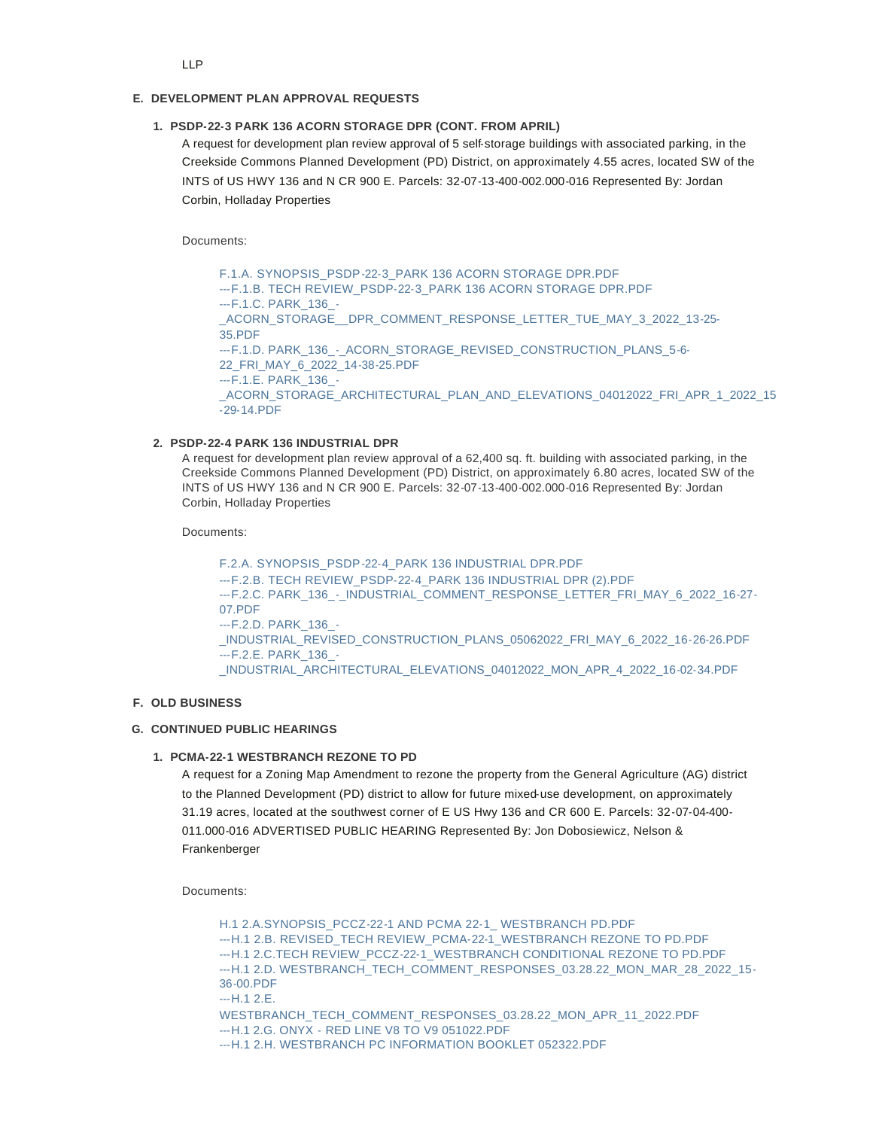## **DEVELOPMENT PLAN APPROVAL REQUESTS E.**

### **PSDP-22-3 PARK 136 ACORN STORAGE DPR (CONT. FROM APRIL) 1.**

A request for development plan review approval of 5 self-storage buildings with associated parking, in the Creekside Commons Planned Development (PD) District, on approximately 4.55 acres, located SW of the INTS of US HWY 136 and N CR 900 E. Parcels: 32-07-13-400-002.000-016 Represented By: Jordan Corbin, Holladay Properties

Documents:

[F.1.A. SYNOPSIS\\_PSDP-22-3\\_PARK 136 ACORN STORAGE DPR.PDF](https://www.brownsburg.org/AgendaCenter/ViewFile/Item/447?fileID=4499) [---F.1.B. TECH REVIEW\\_PSDP-22-3\\_PARK 136 ACORN STORAGE DPR.PDF](https://www.brownsburg.org/AgendaCenter/ViewFile/Item/447?fileID=4500) ---F.1.C. PARK\_136\_- [\\_ACORN\\_STORAGE\\_\\_DPR\\_COMMENT\\_RESPONSE\\_LETTER\\_TUE\\_MAY\\_3\\_2022\\_13-25-](https://www.brownsburg.org/AgendaCenter/ViewFile/Item/447?fileID=4501) 35.PDF --- F.1.D. PARK\_136 - ACORN\_STORAGE\_REVISED\_CONSTRUCTION\_PLANS\_5-6-22\_FRI\_MAY\_6\_2022\_14-38-25.PDF [---F.1.E. P](https://www.brownsburg.org/AgendaCenter/ViewFile/Item/447?fileID=4503)ARK\_136\_- \_ACORN\_STORAGE\_ARCHITECTURAL\_PLAN\_AND\_ELEVATIONS\_04012022\_FRI\_APR\_1\_2022\_15 -29-14.PDF

#### **PSDP-22-4 PARK 136 INDUSTRIAL DPR 2.**

A request for development plan review approval of a 62,400 sq. ft. building with associated parking, in the Creekside Commons Planned Development (PD) District, on approximately 6.80 acres, located SW of the INTS of US HWY 136 and N CR 900 E. Parcels: 32-07-13-400-002.000-016 Represented By: Jordan Corbin, Holladay Properties

Documents:

[F.2.A. SYNOPSIS\\_PSDP-22-4\\_PARK 136 INDUSTRIAL DPR.PDF](https://www.brownsburg.org/AgendaCenter/ViewFile/Item/448?fileID=4504) [---F.2.B. TECH REVIEW\\_PSDP-22-4\\_PARK 136 INDUSTRIAL DPR \(2\).PDF](https://www.brownsburg.org/AgendaCenter/ViewFile/Item/448?fileID=4527) [---F.2.C. P](https://www.brownsburg.org/AgendaCenter/ViewFile/Item/448?fileID=4505)ARK\_136 - INDUSTRIAL\_COMMENT\_RESPONSE\_LETTER\_FRI\_MAY\_6\_2022\_16-27-07.PDF [---F.2.D. P](https://www.brownsburg.org/AgendaCenter/ViewFile/Item/448?fileID=4506)ARK\_136\_- \_INDUSTRIAL\_REVISED\_CONSTRUCTION\_PLANS\_05062022\_FRI\_MAY\_6\_2022\_16-26-26.PDF [---F.2.E. P](https://www.brownsburg.org/AgendaCenter/ViewFile/Item/448?fileID=4507)ARK\_136\_- \_INDUSTRIAL\_ARCHITECTURAL\_ELEVATIONS\_04012022\_MON\_APR\_4\_2022\_16-02-34.PDF

#### **OLD BUSINESS F.**

#### **CONTINUED PUBLIC HEARINGS G.**

#### **PCMA-22-1 WESTBRANCH REZONE TO PD 1.**

A request for a Zoning Map Amendment to rezone the property from the General Agriculture (AG) district to the Planned Development (PD) district to allow for future mixed-use development, on approximately 31.19 acres, located at the southwest corner of E US Hwy 136 and CR 600 E. Parcels: 32-07-04-400- 011.000-016 ADVERTISED PUBLIC HEARING Represented By: Jon Dobosiewicz, Nelson & Frankenberger

Documents:

[H.1 2.A.SYNOPSIS\\_PCCZ-22-1 AND PCMA 22-1\\_ WESTBRANCH PD.PDF](https://www.brownsburg.org/AgendaCenter/ViewFile/Item/449?fileID=4508) [---H.1 2.B. REVISED\\_TECH REVIEW\\_PCMA-22-1\\_WESTBRANCH REZONE TO PD.PDF](https://www.brownsburg.org/AgendaCenter/ViewFile/Item/449?fileID=4509) [---H.1 2.C.TECH REVIEW\\_PCCZ-22-1\\_WESTBRANCH CONDITIONAL REZONE TO](https://www.brownsburg.org/AgendaCenter/ViewFile/Item/449?fileID=4510) PD.PDF [---H.1 2.D. W](https://www.brownsburg.org/AgendaCenter/ViewFile/Item/449?fileID=4511)ESTBRANCH\_TECH\_COMMENT\_RESPONSES\_03.28.22\_MON\_MAR\_28\_2022\_15- 36-00.PDF ---H.1 2.E. [WESTBRANCH\\_TECH\\_COMMENT\\_RESPONSES\\_03.28.22\\_MON\\_APR\\_11\\_2022.PDF](https://www.brownsburg.org/AgendaCenter/ViewFile/Item/449?fileID=4512) [---H.1 2.G. ONYX - RED LINE V8 TO V9 051022.PDF](https://www.brownsburg.org/AgendaCenter/ViewFile/Item/449?fileID=4513) [---H.1 2.H. WESTBRANCH PC INFORMATION BOOKLET 052322.PDF](https://www.brownsburg.org/AgendaCenter/ViewFile/Item/449?fileID=4514)

LLP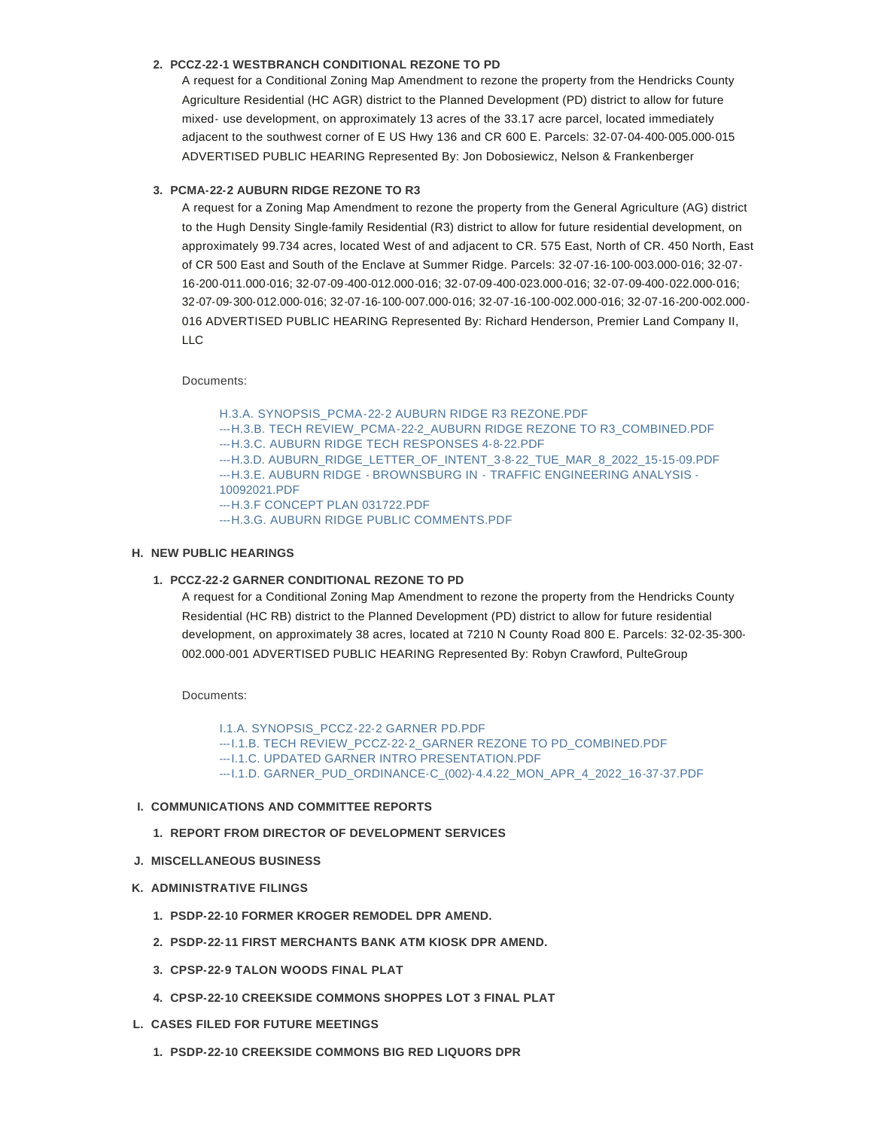# **PCCZ-22-1 WESTBRANCH CONDITIONAL REZONE TO PD 2.**

A request for a Conditional Zoning Map Amendment to rezone the property from the Hendricks County Agriculture Residential (HC AGR) district to the Planned Development (PD) district to allow for future mixed- use development, on approximately 13 acres of the 33.17 acre parcel, located immediately adjacent to the southwest corner of E US Hwy 136 and CR 600 E. Parcels: 32-07-04-400-005.000-015 ADVERTISED PUBLIC HEARING Represented By: Jon Dobosiewicz, Nelson & Frankenberger

## **PCMA-22-2 AUBURN RIDGE REZONE TO R3 3.**

A request for a Zoning Map Amendment to rezone the property from the General Agriculture (AG) district to the Hugh Density Single-family Residential (R3) district to allow for future residential development, on approximately 99.734 acres, located West of and adjacent to CR. 575 East, North of CR. 450 North, East of CR 500 East and South of the Enclave at Summer Ridge. Parcels: 32-07-16-100-003.000-016; 32-07- 16-200-011.000-016; 32-07-09-400-012.000-016; 32-07-09-400-023.000-016; 32-07-09-400-022.000-016; 32-07-09-300-012.000-016; 32-07-16-100-007.000-016; 32-07-16-100-002.000-016; 32-07-16-200-002.000- 016 ADVERTISED PUBLIC HEARING Represented By: Richard Henderson, Premier Land Company II, LLC

#### Documents:

[H.3.A. SYNOPSIS\\_PCMA-22-2 AUBURN RIDGE R3 REZONE.PDF](https://www.brownsburg.org/AgendaCenter/ViewFile/Item/451?fileID=4515) [---H.3.B. TECH REVIEW\\_PCMA-22-2\\_AUBURN RIDGE REZONE TO R3\\_COMBINED.PDF](https://www.brownsburg.org/AgendaCenter/ViewFile/Item/451?fileID=4516) [---H.3.C. AUBURN RIDGE TECH RESPONSES 4-8-22.PDF](https://www.brownsburg.org/AgendaCenter/ViewFile/Item/451?fileID=4517) [---H.3.D. AUBURN\\_RIDGE\\_LETTER\\_OF\\_INTENT\\_3-8-22\\_TUE\\_MAR\\_8\\_2022\\_15-15-09.PDF](https://www.brownsburg.org/AgendaCenter/ViewFile/Item/451?fileID=4518) [---H.3.E. AUBURN RIDGE - BROWNSBURG IN - TRAFFIC ENGINEERING ANALYSIS -](https://www.brownsburg.org/AgendaCenter/ViewFile/Item/451?fileID=4519) 10092021.PDF [---H.3.F CONCEPT PLAN 031722.PDF](https://www.brownsburg.org/AgendaCenter/ViewFile/Item/451?fileID=4520) [---H.3.G. AUBURN RIDGE PUBLIC COMMENTS.PDF](https://www.brownsburg.org/AgendaCenter/ViewFile/Item/451?fileID=4521)

## **NEW PUBLIC HEARINGS H.**

### **PCCZ-22-2 GARNER CONDITIONAL REZONE TO PD 1.**

A request for a Conditional Zoning Map Amendment to rezone the property from the Hendricks County Residential (HC RB) district to the Planned Development (PD) district to allow for future residential development, on approximately 38 acres, located at 7210 N County Road 800 E. Parcels: 32-02-35-300- 002.000-001 ADVERTISED PUBLIC HEARING Represented By: Robyn Crawford, PulteGroup

Documents:

[I.1.A. SYNOPSIS\\_PCCZ-22-2 GARNER PD.PDF](https://www.brownsburg.org/AgendaCenter/ViewFile/Item/452?fileID=4522) [---I.1.B. TECH REVIEW\\_PCCZ-22-2\\_GARNER REZONE TO PD\\_COMBINED.PDF](https://www.brownsburg.org/AgendaCenter/ViewFile/Item/452?fileID=4523) [---I.1.C. UPDATED GARNER INTRO PRESENTATION.PDF](https://www.brownsburg.org/AgendaCenter/ViewFile/Item/452?fileID=4524) [---I.1.D. GARNER\\_PUD\\_ORDINANCE-C\\_\(002\)-4.4.22\\_MON\\_APR\\_4\\_2022\\_16-37-37.PDF](https://www.brownsburg.org/AgendaCenter/ViewFile/Item/452?fileID=4525)

## **COMMUNICATIONS AND COMMITTEE REPORTS I.**

- **REPORT FROM DIRECTOR OF DEVELOPMENT SERVICES 1.**
- **MISCELLANEOUS BUSINESS J.**
- **ADMINISTRATIVE FILINGS K.**
	- **PSDP-22-10 FORMER KROGER REMODEL DPR AMEND. 1.**
	- **PSDP-22-11 FIRST MERCHANTS BANK ATM KIOSK DPR AMEND. 2.**
	- **CPSP-22-9 TALON WOODS FINAL PLAT 3.**
	- **CPSP-22-10 CREEKSIDE COMMONS SHOPPES LOT 3 FINAL PLAT 4.**
- **CASES FILED FOR FUTURE MEETINGS L.**
	- **PSDP-22-10 CREEKSIDE COMMONS BIG RED LIQUORS DPR 1.**